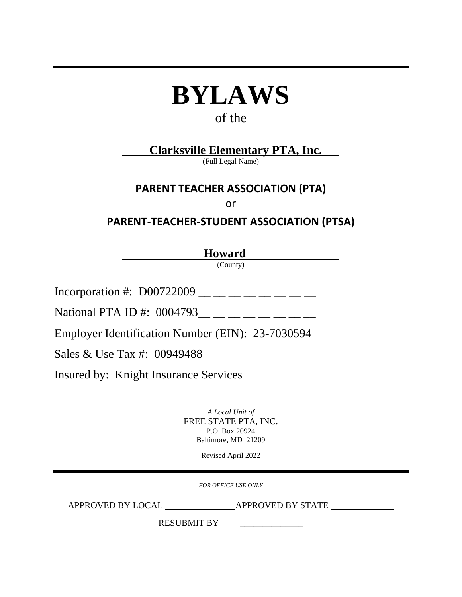# **BYLAWS**

## of the

## **Clarksville Elementary PTA, Inc.**

(Full Legal Name)

## **PARENT TEACHER ASSOCIATION (PTA)**

or

## **PARENT-TEACHER-STUDENT ASSOCIATION (PTSA)**

**Howard**

(County)

Incorporation #:  $D00722009$  \_\_ \_ \_ \_ \_ \_ \_ \_

National PTA ID #:  $0004793$  \_\_ \_ \_ \_ \_ \_ \_ \_

Employer Identification Number (EIN): 23-7030594

Sales & Use Tax #: 00949488

Insured by: Knight Insurance Services

*A Local Unit of* FREE STATE PTA, INC. P.O. Box 20924 Baltimore, MD 21209

Revised April 2022

*FOR OFFICE USE ONLY*

APPROVED BY LOCAL APPROVED BY STATE

RESUBMIT BY \_\_\_\_\_\_\_\_\_\_\_\_\_\_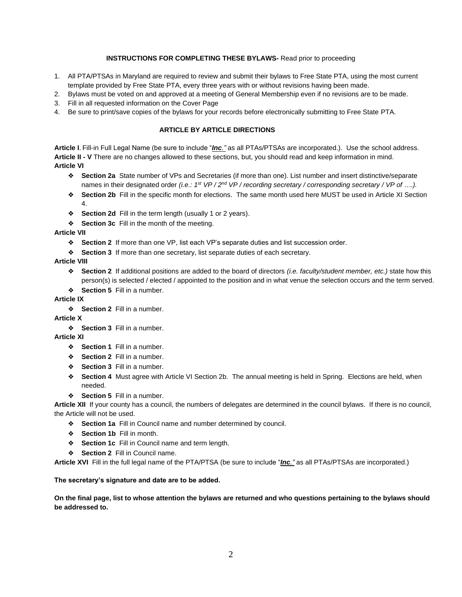#### **INSTRUCTIONS FOR COMPLETING THESE BYLAWS-** Read prior to proceeding

- 1. All PTA/PTSAs in Maryland are required to review and submit their bylaws to Free State PTA, using the most current template provided by Free State PTA, every three years with or without revisions having been made.
- 2. Bylaws must be voted on and approved at a meeting of General Membership even if no revisions are to be made.
- 3. Fill in all requested information on the Cover Page
- 4. Be sure to print/save copies of the bylaws for your records before electronically submitting to Free State PTA.

#### **ARTICLE BY ARTICLE DIRECTIONS**

**Article I**. Fill-in Full Legal Name (be sure to include "*Inc."* as all PTAs/PTSAs are incorporated.). Use the school address. **Article II - V** There are no changes allowed to these sections, but, you should read and keep information in mind. **Article VI**

- ❖ **Section 2a** State number of VPs and Secretaries (if more than one). List number and insert distinctive/separate hames in their designated order *(i.e.: 1<sup>st</sup> VP / 2<sup>nd</sup> VP / recording secretary / corresponding secretary / VP of ….).*
- ❖ **Section 2b** Fill in the specific month for elections. The same month used here MUST be used in Article XI Section 4.
- ❖ **Section 2d** Fill in the term length (usually 1 or 2 years).
- ❖ **Section 3c** Fill in the month of the meeting.

**Article VII**

- ❖ **Section 2** If more than one VP, list each VP's separate duties and list succession order.
- ❖ **Section 3** If more than one secretary, list separate duties of each secretary.

**Article VIII**

- ❖ **Section 2** If additional positions are added to the board of directors *(i.e. faculty/student member, etc.)* state how this person(s) is selected / elected / appointed to the position and in what venue the selection occurs and the term served.
- ❖ **Section 5** Fill in a number.

#### **Article IX**

❖ **Section 2** Fill in a number.

#### **Article X**

❖ **Section 3** Fill in a number.

#### **Article XI**

- ❖ **Section 1** Fill in a number.
- ❖ **Section 2** Fill in a number.
- ❖ **Section 3** Fill in a number.
- ❖ **Section 4** Must agree with Article VI Section 2b. The annual meeting is held in Spring. Elections are held, when needed.
- ❖ **Section 5** Fill in a number.

**Article XII** If your county has a council, the numbers of delegates are determined in the council bylaws. If there is no council, the Article will not be used.

- ❖ **Section 1a** Fill in Council name and number determined by council.
- ❖ **Section 1b** Fill in month.
- ❖ **Section 1c** Fill in Council name and term length.
- ❖ **Section 2** Fill in Council name.

**Article XVI** Fill in the full legal name of the PTA/PTSA (be sure to include "*Inc."* as all PTAs/PTSAs are incorporated.)

#### **The secretary's signature and date are to be added.**

**On the final page, list to whose attention the bylaws are returned and who questions pertaining to the bylaws should be addressed to.**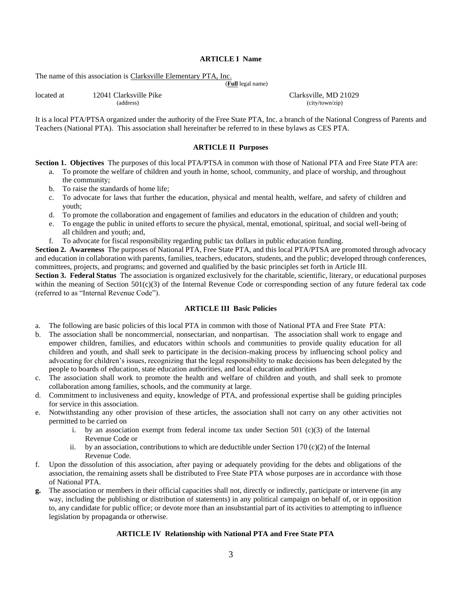#### **ARTICLE I Name**

The name of this association is Clarksville Elementary PTA, Inc.

(**Full** legal name)

located at 12041 Clarksville Pike Clarksville, MD 21029

It is a local PTA/PTSA organized under the authority of the Free State PTA, Inc. a branch of the National Congress of Parents and Teachers (National PTA). This association shall hereinafter be referred to in these bylaws as CES PTA.

#### **ARTICLE II Purposes**

**Section 1. Objectives** The purposes of this local PTA/PTSA in common with those of National PTA and Free State PTA are:

- a. To promote the welfare of children and youth in home, school, community, and place of worship, and throughout the community;
- b. To raise the standards of home life;
- c. To advocate for laws that further the education, physical and mental health, welfare, and safety of children and youth;
- d. To promote the collaboration and engagement of families and educators in the education of children and youth;
- e. To engage the public in united efforts to secure the physical, mental, emotional, spiritual, and social well-being of all children and youth; and,
- f. To advocate for fiscal responsibility regarding public tax dollars in public education funding.

**Section 2. Awareness** The purposes of National PTA, Free State PTA, and this local PTA/PTSA are promoted through advocacy and education in collaboration with parents, families, teachers, educators, students, and the public; developed through conferences, committees, projects, and programs; and governed and qualified by the basic principles set forth in Article III.

**Section 3. Federal Status** The association is organized exclusively for the charitable, scientific, literary, or educational purposes within the meaning of Section  $501(c)(3)$  of the Internal Revenue Code or corresponding section of any future federal tax code (referred to as "Internal Revenue Code").

#### **ARTICLE III Basic Policies**

- a. The following are basic policies of this local PTA in common with those of National PTA and Free State PTA:
- b. The association shall be noncommercial, nonsectarian, and nonpartisan. The association shall work to engage and empower children, families, and educators within schools and communities to provide quality education for all children and youth, and shall seek to participate in the decision-making process by influencing school policy and advocating for children's issues, recognizing that the legal responsibility to make decisions has been delegated by the people to boards of education, state education authorities, and local education authorities
- c. The association shall work to promote the health and welfare of children and youth, and shall seek to promote collaboration among families, schools, and the community at large.
- d. Commitment to inclusiveness and equity, knowledge of PTA, and professional expertise shall be guiding principles for service in this association.
- e. Notwithstanding any other provision of these articles, the association shall not carry on any other activities not permitted to be carried on
	- i. by an association exempt from federal income tax under Section  $501 \text{ (c)}(3)$  of the Internal Revenue Code or
	- ii. by an association, contributions to which are deductible under Section 170 (c)(2) of the Internal Revenue Code.
- f. Upon the dissolution of this association, after paying or adequately providing for the debts and obligations of the association, the remaining assets shall be distributed to Free State PTA whose purposes are in accordance with those of National PTA.
- **g.** The association or members in their official capacities shall not, directly or indirectly, participate or intervene (in any way, including the publishing or distribution of statements) in any political campaign on behalf of, or in opposition to, any candidate for public office; or devote more than an insubstantial part of its activities to attempting to influence legislation by propaganda or otherwise.

#### **ARTICLE IV Relationship with National PTA and Free State PTA**

(city/town/zip)

| 12041 CRITING LIKE |  |  |  |
|--------------------|--|--|--|
| (address)          |  |  |  |
|                    |  |  |  |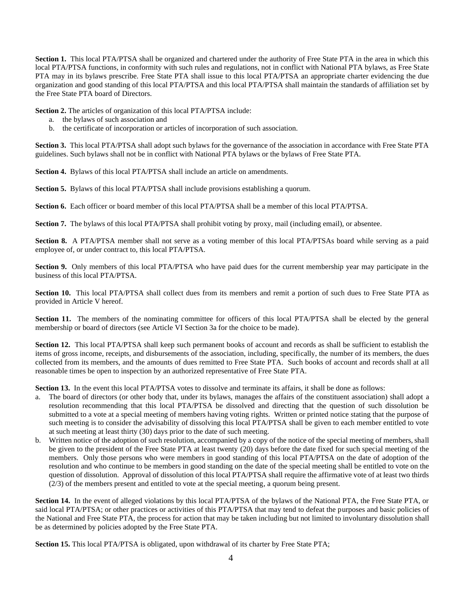**Section 1.** This local PTA/PTSA shall be organized and chartered under the authority of Free State PTA in the area in which this local PTA/PTSA functions, in conformity with such rules and regulations, not in conflict with National PTA bylaws, as Free State PTA may in its bylaws prescribe. Free State PTA shall issue to this local PTA/PTSA an appropriate charter evidencing the due organization and good standing of this local PTA/PTSA and this local PTA/PTSA shall maintain the standards of affiliation set by the Free State PTA board of Directors.

**Section 2.** The articles of organization of this local PTA/PTSA include:

- a. the bylaws of such association and
- b. the certificate of incorporation or articles of incorporation of such association.

**Section 3.** This local PTA/PTSA shall adopt such bylaws for the governance of the association in accordance with Free State PTA guidelines. Such bylaws shall not be in conflict with National PTA bylaws or the bylaws of Free State PTA.

**Section 4.** Bylaws of this local PTA/PTSA shall include an article on amendments.

**Section 5.** Bylaws of this local PTA/PTSA shall include provisions establishing a quorum.

**Section 6.** Each officer or board member of this local PTA/PTSA shall be a member of this local PTA/PTSA.

**Section 7.** The bylaws of this local PTA/PTSA shall prohibit voting by proxy, mail (including email), or absentee.

**Section 8.** A PTA/PTSA member shall not serve as a voting member of this local PTA/PTSAs board while serving as a paid employee of, or under contract to, this local PTA/PTSA.

**Section 9.** Only members of this local PTA/PTSA who have paid dues for the current membership year may participate in the business of this local PTA/PTSA.

**Section 10.** This local PTA/PTSA shall collect dues from its members and remit a portion of such dues to Free State PTA as provided in Article V hereof.

Section 11. The members of the nominating committee for officers of this local PTA/PTSA shall be elected by the general membership or board of directors (see Article VI Section 3a for the choice to be made).

**Section 12.** This local PTA/PTSA shall keep such permanent books of account and records as shall be sufficient to establish the items of gross income, receipts, and disbursements of the association, including, specifically, the number of its members, the dues collected from its members, and the amounts of dues remitted to Free State PTA. Such books of account and records shall at all reasonable times be open to inspection by an authorized representative of Free State PTA.

**Section 13.** In the event this local PTA/PTSA votes to dissolve and terminate its affairs, it shall be done as follows:

- a. The board of directors (or other body that, under its bylaws, manages the affairs of the constituent association) shall adopt a resolution recommending that this local PTA/PTSA be dissolved and directing that the question of such dissolution be submitted to a vote at a special meeting of members having voting rights. Written or printed notice stating that the purpose of such meeting is to consider the advisability of dissolving this local PTA/PTSA shall be given to each member entitled to vote at such meeting at least thirty (30) days prior to the date of such meeting.
- b. Written notice of the adoption of such resolution, accompanied by a copy of the notice of the special meeting of members, shall be given to the president of the Free State PTA at least twenty (20) days before the date fixed for such special meeting of the members. Only those persons who were members in good standing of this local PTA/PTSA on the date of adoption of the resolution and who continue to be members in good standing on the date of the special meeting shall be entitled to vote on the question of dissolution. Approval of dissolution of this local PTA/PTSA shall require the affirmative vote of at least two thirds (2/3) of the members present and entitled to vote at the special meeting, a quorum being present.

**Section 14.** In the event of alleged violations by this local PTA/PTSA of the bylaws of the National PTA, the Free State PTA, or said local PTA/PTSA; or other practices or activities of this PTA/PTSA that may tend to defeat the purposes and basic policies of the National and Free State PTA, the process for action that may be taken including but not limited to involuntary dissolution shall be as determined by policies adopted by the Free State PTA.

**Section 15.** This local PTA/PTSA is obligated, upon withdrawal of its charter by Free State PTA;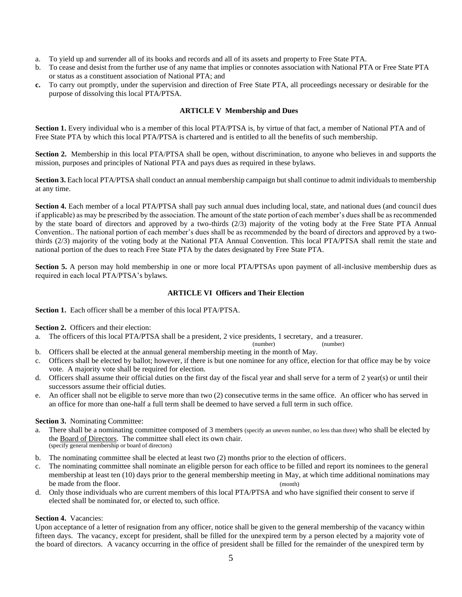- a. To yield up and surrender all of its books and records and all of its assets and property to Free State PTA.
- b. To cease and desist from the further use of any name that implies or connotes association with National PTA or Free State PTA or status as a constituent association of National PTA; and
- **c.** To carry out promptly, under the supervision and direction of Free State PTA, all proceedings necessary or desirable for the purpose of dissolving this local PTA/PTSA.

#### **ARTICLE V Membership and Dues**

**Section 1.** Every individual who is a member of this local PTA/PTSA is, by virtue of that fact, a member of National PTA and of Free State PTA by which this local PTA/PTSA is chartered and is entitled to all the benefits of such membership.

**Section 2.** Membership in this local PTA/PTSA shall be open, without discrimination, to anyone who believes in and supports the mission, purposes and principles of National PTA and pays dues as required in these bylaws.

**Section 3.** Each local PTA/PTSA shall conduct an annual membership campaign but shall continue to admit individuals to membership at any time.

**Section 4.** Each member of a local PTA/PTSA shall pay such annual dues including local, state, and national dues (and council dues if applicable) as may be prescribed by the association. The amount of the state portion of each member's dues shall be as recommended by the state board of directors and approved by a two-thirds (2/3) majority of the voting body at the Free State PTA Annual Convention.. The national portion of each member's dues shall be as recommended by the board of directors and approved by a twothirds (2/3) majority of the voting body at the National PTA Annual Convention. This local PTA/PTSA shall remit the state and national portion of the dues to reach Free State PTA by the dates designated by Free State PTA.

**Section 5.** A person may hold membership in one or more local PTA/PTSAs upon payment of all-inclusive membership dues as required in each local PTA/PTSA's bylaws.

#### **ARTICLE VI Officers and Their Election**

**Section 1.** Each officer shall be a member of this local PTA/PTSA.

**Section 2.** Officers and their election:

a. The officers of this local PTA/PTSA shall be a president, 2 vice presidents, 1 secretary, and a treasurer.

(number) (number)

- b. Officers shall be elected at the annual general membership meeting in the month of May.
- c. Officers shall be elected by ballot; however, if there is but one nominee for any office, election for that office may be by voice vote. A majority vote shall be required for election.
- d. Officers shall assume their official duties on the first day of the fiscal year and shall serve for a term of 2 year(s) or until their successors assume their official duties.
- e. An officer shall not be eligible to serve more than two (2) consecutive terms in the same office. An officer who has served in an office for more than one-half a full term shall be deemed to have served a full term in such office.

#### **Section 3.** Nominating Committee:

- a. There shall be a nominating committee composed of 3 members (specify an uneven number, no less than three) who shall be elected by the Board of Directors. The committee shall elect its own chair. (specify general membership or board of directors)
- b. The nominating committee shall be elected at least two (2) months prior to the election of officers.
- c. The nominating committee shall nominate an eligible person for each office to be filled and report its nominees to the general membership at least ten (10) days prior to the general membership meeting in May, at which time additional nominations may be made from the floor. (month)
- d. Only those individuals who are current members of this local PTA/PTSA and who have signified their consent to serve if elected shall be nominated for, or elected to, such office.

#### **Section 4.** Vacancies:

Upon acceptance of a letter of resignation from any officer, notice shall be given to the general membership of the vacancy within fifteen days. The vacancy, except for president, shall be filled for the unexpired term by a person elected by a majority vote of the board of directors. A vacancy occurring in the office of president shall be filled for the remainder of the unexpired term by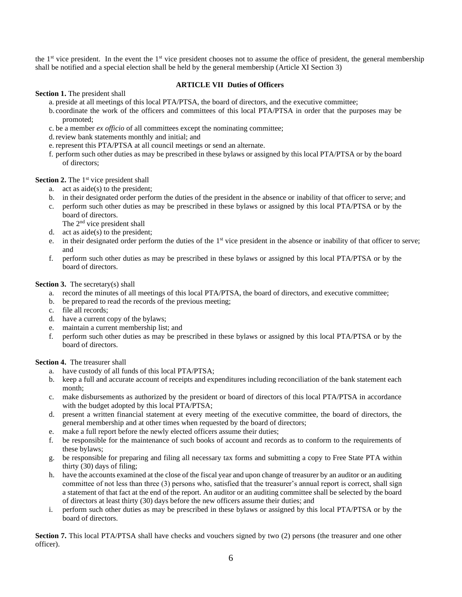the  $1<sup>st</sup>$  vice president. In the event the  $1<sup>st</sup>$  vice president chooses not to assume the office of president, the general membership shall be notified and a special election shall be held by the general membership (Article XI Section 3)

#### **ARTICLE VII Duties of Officers**

**Section 1.** The president shall

- a. preside at all meetings of this local PTA/PTSA, the board of directors, and the executive committee;
- b. coordinate the work of the officers and committees of this local PTA/PTSA in order that the purposes may be promoted;
- c. be a member *ex officio* of all committees except the nominating committee;
- d.review bank statements monthly and initial; and
- e. represent this PTA/PTSA at all council meetings or send an alternate.
- f. perform such other duties as may be prescribed in these bylaws or assigned by this local PTA/PTSA or by the board of directors;

Section 2. The 1<sup>st</sup> vice president shall

- a. act as aide(s) to the president;
- b. in their designated order perform the duties of the president in the absence or inability of that officer to serve; and
- c. perform such other duties as may be prescribed in these bylaws or assigned by this local PTA/PTSA or by the board of directors.
- The 2<sup>nd</sup> vice president shall
- d. act as  $aide(s)$  to the president;
- e. in their designated order perform the duties of the 1<sup>st</sup> vice president in the absence or inability of that officer to serve; and
- f. perform such other duties as may be prescribed in these bylaws or assigned by this local PTA/PTSA or by the board of directors.

#### **Section 3.** The secretary(s) shall

- a. record the minutes of all meetings of this local PTA/PTSA, the board of directors, and executive committee;
- b. be prepared to read the records of the previous meeting;
- c. file all records;
- d. have a current copy of the bylaws;
- e. maintain a current membership list; and
- f. perform such other duties as may be prescribed in these bylaws or assigned by this local PTA/PTSA or by the board of directors.

#### **Section 4.** The treasurer shall

- a. have custody of all funds of this local PTA/PTSA;
- b. keep a full and accurate account of receipts and expenditures including reconciliation of the bank statement each month;
- c. make disbursements as authorized by the president or board of directors of this local PTA/PTSA in accordance with the budget adopted by this local PTA/PTSA;
- d. present a written financial statement at every meeting of the executive committee, the board of directors, the general membership and at other times when requested by the board of directors;
- e. make a full report before the newly elected officers assume their duties;
- f. be responsible for the maintenance of such books of account and records as to conform to the requirements of these bylaws;
- g. be responsible for preparing and filing all necessary tax forms and submitting a copy to Free State PTA within thirty (30) days of filing;
- h. have the accounts examined at the close of the fiscal year and upon change of treasurer by an auditor or an auditing committee of not less than three (3) persons who, satisfied that the treasurer's annual report is correct, shall sign a statement of that fact at the end of the report. An auditor or an auditing committee shall be selected by the board of directors at least thirty (30) days before the new officers assume their duties; and
- i. perform such other duties as may be prescribed in these bylaws or assigned by this local PTA/PTSA or by the board of directors.

**Section 7.** This local PTA/PTSA shall have checks and vouchers signed by two (2) persons (the treasurer and one other officer).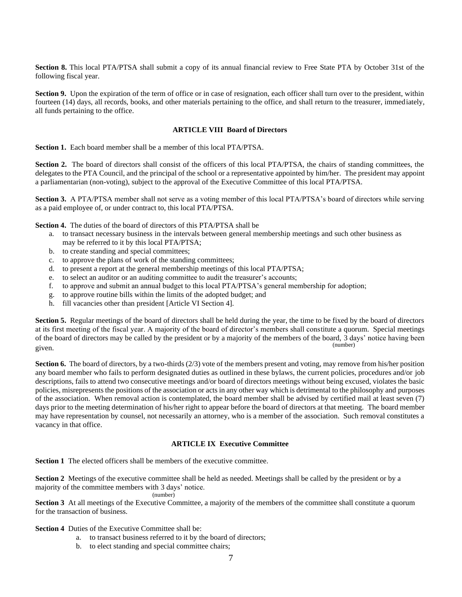**Section 8.** This local PTA/PTSA shall submit a copy of its annual financial review to Free State PTA by October 31st of the following fiscal year.

**Section 9.** Upon the expiration of the term of office or in case of resignation, each officer shall turn over to the president, within fourteen (14) days, all records, books, and other materials pertaining to the office, and shall return to the treasurer, immediately, all funds pertaining to the office.

#### **ARTICLE VIII Board of Directors**

**Section 1.** Each board member shall be a member of this local PTA/PTSA.

**Section 2.** The board of directors shall consist of the officers of this local PTA/PTSA, the chairs of standing committees, the delegates to the PTA Council, and the principal of the school or a representative appointed by him/her. The president may appoint a parliamentarian (non-voting), subject to the approval of the Executive Committee of this local PTA/PTSA.

**Section 3.** A PTA/PTSA member shall not serve as a voting member of this local PTA/PTSA's board of directors while serving as a paid employee of, or under contract to, this local PTA/PTSA.

**Section 4.** The duties of the board of directors of this PTA/PTSA shall be

- a. to transact necessary business in the intervals between general membership meetings and such other business as may be referred to it by this local PTA/PTSA;
- b. to create standing and special committees;
- c. to approve the plans of work of the standing committees;
- d. to present a report at the general membership meetings of this local PTA/PTSA;
- e. to select an auditor or an auditing committee to audit the treasurer's accounts;
- f. to approve and submit an annual budget to this local PTA/PTSA's general membership for adoption;
- g. to approve routine bills within the limits of the adopted budget; and
- h. fill vacancies other than president [Article VI Section 4].

**Section 5.** Regular meetings of the board of directors shall be held during the year, the time to be fixed by the board of directors at its first meeting of the fiscal year. A majority of the board of director's members shall constitute a quorum. Special meetings of the board of directors may be called by the president or by a majority of the members of the board, 3 days' notice having been given. (number)

**Section 6.** The board of directors, by a two-thirds (2/3) vote of the members present and voting, may remove from his/her position any board member who fails to perform designated duties as outlined in these bylaws, the current policies, procedures and/or job descriptions, fails to attend two consecutive meetings and/or board of directors meetings without being excused, violates the basic policies, misrepresents the positions of the association or acts in any other way which is detrimental to the philosophy and purposes of the association. When removal action is contemplated, the board member shall be advised by certified mail at least seven (7) days prior to the meeting determination of his/her right to appear before the board of directors at that meeting. The board member may have representation by counsel, not necessarily an attorney, who is a member of the association. Such removal constitutes a vacancy in that office.

#### **ARTICLE IX Executive Committee**

**Section 1** The elected officers shall be members of the executive committee.

**Section 2** Meetings of the executive committee shall be held as needed. Meetings shall be called by the president or by a majority of the committee members with 3 days' notice. (number)

**Section 3** At all meetings of the Executive Committee, a majority of the members of the committee shall constitute a quorum for the transaction of business.

**Section 4** Duties of the Executive Committee shall be:

- a. to transact business referred to it by the board of directors;
- b. to elect standing and special committee chairs;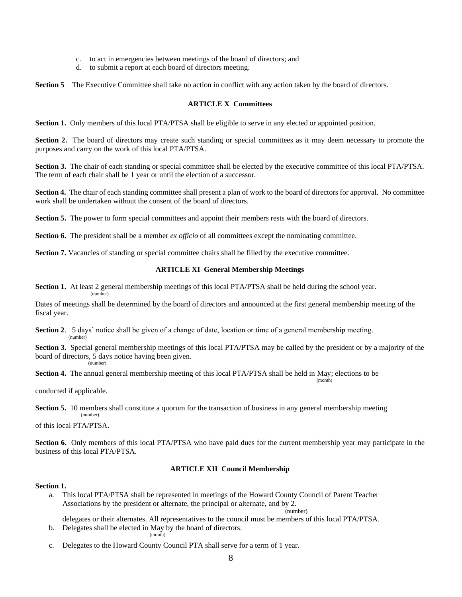- c. to act in emergencies between meetings of the board of directors; and
- d. to submit a report at each board of directors meeting.

**Section 5** The Executive Committee shall take no action in conflict with any action taken by the board of directors.

#### **ARTICLE X Committees**

**Section 1.** Only members of this local PTA/PTSA shall be eligible to serve in any elected or appointed position.

**Section 2.** The board of directors may create such standing or special committees as it may deem necessary to promote the purposes and carry on the work of this local PTA/PTSA.

**Section 3.** The chair of each standing or special committee shall be elected by the executive committee of this local PTA/PTSA. The term of each chair shall be 1 year or until the election of a successor.

**Section 4.** The chair of each standing committee shall present a plan of work to the board of directors for approval. No committee work shall be undertaken without the consent of the board of directors.

**Section 5.** The power to form special committees and appoint their members rests with the board of directors.

**Section 6.** The president shall be a member *ex officio* of all committees except the nominating committee.

**Section 7.** Vacancies of standing or special committee chairs shall be filled by the executive committee.

#### **ARTICLE XI General Membership Meetings**

**Section 1.** At least 2 general membership meetings of this local PTA/PTSA shall be held during the school year.

Dates of meetings shall be determined by the board of directors and announced at the first general membership meeting of the fiscal year.

**Section 2.** 5 days' notice shall be given of a change of date, location or time of a general membership meeting. (number)

**Section 3.** Special general membership meetings of this local PTA/PTSA may be called by the president or by a majority of the board of directors, 5 days notice having been given. (number)

**Section 4.** The annual general membership meeting of this local PTA/PTSA shall be held in May; elections to be (month)

conducted if applicable.

(number)

**Section 5.** 10 members shall constitute a quorum for the transaction of business in any general membership meeting (number)

of this local PTA/PTSA.

**Section 6.** Only members of this local PTA/PTSA who have paid dues for the current membership year may participate in the business of this local PTA/PTSA.

#### **ARTICLE XII Council Membership**

#### **Section 1.**

a. This local PTA/PTSA shall be represented in meetings of the Howard County Council of Parent Teacher Associations by the president or alternate, the principal or alternate, and by 2. (number)

delegates or their alternates. All representatives to the council must be members of this local PTA/PTSA.

- b. Delegates shall be elected in May by the board of directors. (month)
- c. Delegates to the Howard County Council PTA shall serve for a term of 1 year.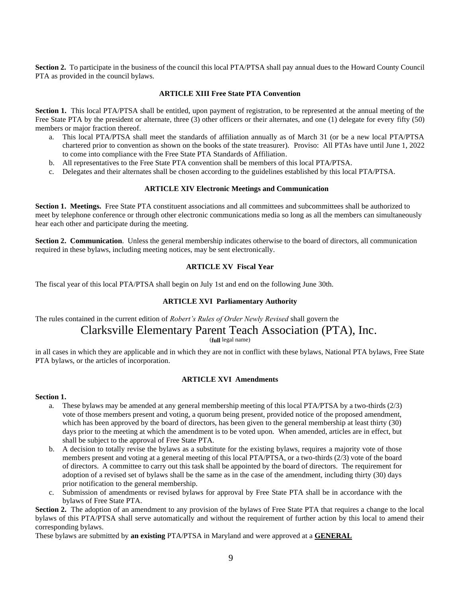**Section 2.** To participate in the business of the council this local PTA/PTSA shall pay annual dues to the Howard County Council PTA as provided in the council bylaws.

#### **ARTICLE XIII Free State PTA Convention**

**Section 1.** This local PTA/PTSA shall be entitled, upon payment of registration, to be represented at the annual meeting of the Free State PTA by the president or alternate, three (3) other officers or their alternates, and one (1) delegate for every fifty (50) members or major fraction thereof.

- a. This local PTA/PTSA shall meet the standards of affiliation annually as of March 31 (or be a new local PTA/PTSA chartered prior to convention as shown on the books of the state treasurer). Proviso: All PTAs have until June 1, 2022 to come into compliance with the Free State PTA Standards of Affiliation.
- b. All representatives to the Free State PTA convention shall be members of this local PTA/PTSA.
- c. Delegates and their alternates shall be chosen according to the guidelines established by this local PTA/PTSA.

#### **ARTICLE XIV Electronic Meetings and Communication**

**Section 1. Meetings.** Free State PTA constituent associations and all committees and subcommittees shall be authorized to meet by telephone conference or through other electronic communications media so long as all the members can simultaneously hear each other and participate during the meeting.

**Section 2. Communication**. Unless the general membership indicates otherwise to the board of directors, all communication required in these bylaws, including meeting notices, may be sent electronically.

#### **ARTICLE XV Fiscal Year**

The fiscal year of this local PTA/PTSA shall begin on July 1st and end on the following June 30th.

#### **ARTICLE XVI Parliamentary Authority**

## The rules contained in the current edition of *Robert's Rules of Order Newly Revised* shall govern the Clarksville Elementary Parent Teach Association (PTA), Inc.

(**full** legal name)

in all cases in which they are applicable and in which they are not in conflict with these bylaws, National PTA bylaws, Free State PTA bylaws, or the articles of incorporation.

#### **ARTICLE XVI Amendments**

#### **Section 1.**

- a. These bylaws may be amended at any general membership meeting of this local PTA/PTSA by a two-thirds (2/3) vote of those members present and voting, a quorum being present, provided notice of the proposed amendment, which has been approved by the board of directors, has been given to the general membership at least thirty (30) days prior to the meeting at which the amendment is to be voted upon. When amended, articles are in effect, but shall be subject to the approval of Free State PTA.
- b. A decision to totally revise the bylaws as a substitute for the existing bylaws, requires a majority vote of those members present and voting at a general meeting of this local PTA/PTSA, or a two-thirds (2/3) vote of the board of directors. A committee to carry out this task shall be appointed by the board of directors. The requirement for adoption of a revised set of bylaws shall be the same as in the case of the amendment, including thirty (30) days prior notification to the general membership.
- c. Submission of amendments or revised bylaws for approval by Free State PTA shall be in accordance with the bylaws of Free State PTA.

**Section 2.** The adoption of an amendment to any provision of the bylaws of Free State PTA that requires a change to the local bylaws of this PTA/PTSA shall serve automatically and without the requirement of further action by this local to amend their corresponding bylaws.

These bylaws are submitted by **an existing** PTA/PTSA in Maryland and were approved at a **GENERAL**